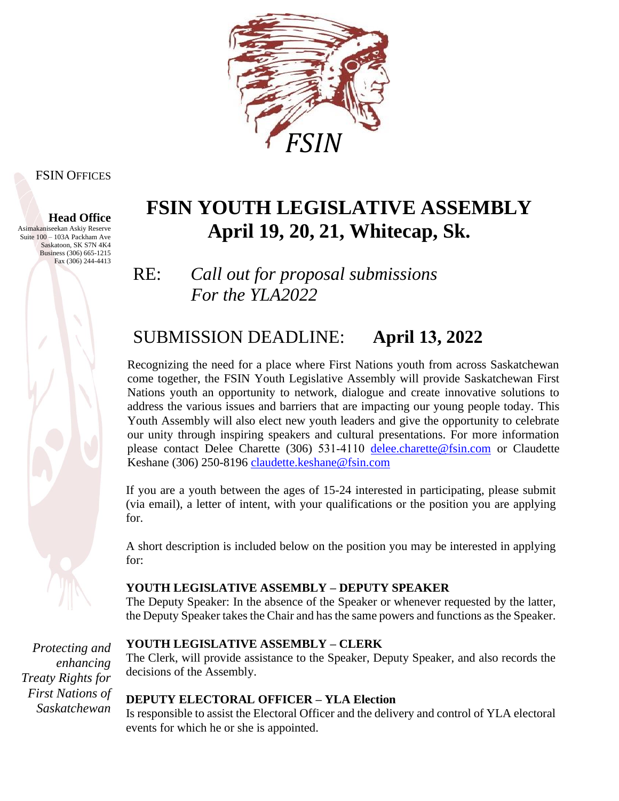

FSIN OFFICES

# **Head Office**

Asimakaniseekan Askiy Reserve Suite 100 – 103A Packham Ave Saskatoon, SK S7N 4K4 Business (306) 665-1215 Fax (306) 244-4413

RE: *Call out for proposal submissions For the YLA2022*

# SUBMISSION DEADLINE: **April 13, 2022**

Recognizing the need for a place where First Nations youth from across Saskatchewan come together, the FSIN Youth Legislative Assembly will provide Saskatchewan First Nations youth an opportunity to network, dialogue and create innovative solutions to address the various issues and barriers that are impacting our young people today. This Youth Assembly will also elect new youth leaders and give the opportunity to celebrate our unity through inspiring speakers and cultural presentations. For more information please contact Delee Charette (306) 531-4110 [delee.charette@fsin.com](mailto:delee.charette@fsin.com) or Claudette Keshane (306) 250-8196 [claudette.keshane@fsin.com](mailto:claudette.keshane@fsin.com)

**FSIN YOUTH LEGISLATIVE ASSEMBLY**

**April 19, 20, 21, Whitecap, Sk.**

If you are a youth between the ages of 15-24 interested in participating, please submit (via email), a letter of intent, with your qualifications or the position you are applying for.

A short description is included below on the position you may be interested in applying for:

## **YOUTH LEGISLATIVE ASSEMBLY – DEPUTY SPEAKER**

The Deputy Speaker: In the absence of the Speaker or whenever requested by the latter, the Deputy Speaker takes the Chair and has the same powers and functions as the Speaker.

## **YOUTH LEGISLATIVE ASSEMBLY – CLERK**

The Clerk, will provide assistance to the Speaker, Deputy Speaker, and also records the decisions of the Assembly.

## **DEPUTY ELECTORAL OFFICER – YLA Election**

Is responsible to assist the Electoral Officer and the delivery and control of YLA electoral events for which he or she is appointed.

*Protecting and enhancing Treaty Rights for First Nations of Saskatchewan*